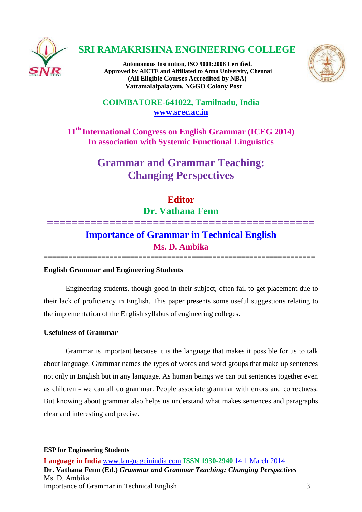

# **SRI RAMAKRISHNA ENGINEERING COLLEGE**

**Autonomous Institution, ISO 9001:2008 Certified. Approved by AICTE and Affiliated to Anna University, Chennai (All Eligible Courses Accredited by NBA) Vattamalaipalayam, NGGO Colony Post**



# **COIMBATORE-641022, Tamilnadu, India [www.srec.ac.in](http://www.srec.ac.in/)**

**11th International Congress on English Grammar (ICEG 2014) In association with Systemic Functional Linguistics**

# **Grammar and Grammar Teaching: Changing Perspectives**

# **Editor Dr. Vathana Fenn**

# **=========================================== Importance of Grammar in Technical English Ms. D. Ambika**

==================================================================

# **English Grammar and Engineering Students**

Engineering students, though good in their subject, often fail to get placement due to their lack of proficiency in English. This paper presents some useful suggestions relating to the implementation of the English syllabus of engineering colleges.

# **Usefulness of Grammar**

Grammar is important because it is the language that makes it possible for us to talk about language. Grammar names the types of words and word groups that make up sentences not only in English but in any language. As human beings we can put sentences together even as children - we can all do grammar. People associate grammar with errors and correctness. But knowing about grammar also helps us understand what makes sentences and paragraphs clear and interesting and precise.

#### **ESP for Engineering Students**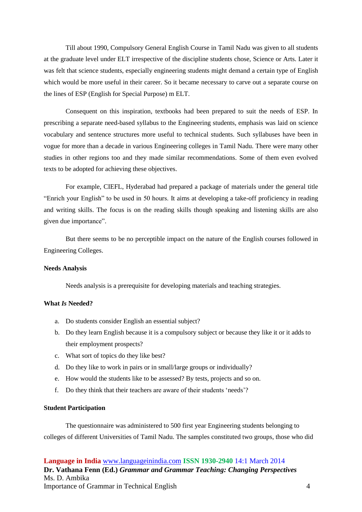Till about 1990, Compulsory General English Course in Tamil Nadu was given to all students at the graduate level under ELT irrespective of the discipline students chose, Science or Arts. Later it was felt that science students, especially engineering students might demand a certain type of English which would be more useful in their career. So it became necessary to carve out a separate course on the lines of ESP (English for Special Purpose) m ELT.

Consequent on this inspiration, textbooks had been prepared to suit the needs of ESP. In prescribing a separate need-based syllabus to the Engineering students, emphasis was laid on science vocabulary and sentence structures more useful to technical students. Such syllabuses have been in vogue for more than a decade in various Engineering colleges in Tamil Nadu. There were many other studies in other regions too and they made similar recommendations. Some of them even evolved texts to be adopted for achieving these objectives.

For example, CIEFL, Hyderabad had prepared a package of materials under the general title "Enrich your English" to be used in 50 hours. It aims at developing a take-off proficiency in reading and writing skills. The focus is on the reading skills though speaking and listening skills are also given due importance".

But there seems to be no perceptible impact on the nature of the English courses followed in Engineering Colleges.

#### **Needs Analysis**

Needs analysis is a prerequisite for developing materials and teaching strategies.

#### **What** *Is* **Needed?**

- a. Do students consider English an essential subject?
- b. Do they learn English because it is a compulsory subject or because they like it or it adds to their employment prospects?
- c. What sort of topics do they like best?
- d. Do they like to work in pairs or in small/large groups or individually?
- e. How would the students like to be assessed? By tests, projects and so on.
- f. Do they think that their teachers are aware of their students 'needs'?

#### **Student Participation**

The questionnaire was administered to 500 first year Engineering students belonging to colleges of different Universities of Tamil Nadu. The samples constituted two groups, those who did

**Language in India** [www.languageinindia.com](http://www.languageinindia.com/) **ISSN 1930-2940** 14:1 March 2014 **Dr. Vathana Fenn (Ed.)** *Grammar and Grammar Teaching: Changing Perspectives* Ms. D. Ambika Importance of Grammar in Technical English 4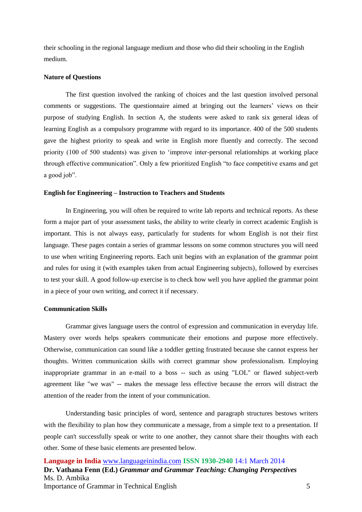their schooling in the regional language medium and those who did their schooling in the English medium.

#### **Nature of Questions**

The first question involved the ranking of choices and the last question involved personal comments or suggestions. The questionnaire aimed at bringing out the learners' views on their purpose of studying English. In section A, the students were asked to rank six general ideas of learning English as a compulsory programme with regard to its importance. 400 of the 500 students gave the highest priority to speak and write in English more fluently and correctly. The second priority (100 of 500 students) was given to 'improve inter-personal relationships at working place through effective communication". Only a few prioritized English "to face competitive exams and get a good job".

#### **English for Engineering – Instruction to Teachers and Students**

In Engineering, you will often be required to write lab reports and technical reports. As these form a major part of your assessment tasks, the ability to write clearly in correct academic English is important. This is not always easy, particularly for students for whom English is not their first language. These pages contain a series of grammar lessons on some common structures you will need to use when writing Engineering reports. Each unit begins with an explanation of the grammar point and rules for using it (with examples taken from actual Engineering subjects), followed by exercises to test your skill. A good follow-up exercise is to check how well you have applied the grammar point in a piece of your own writing, and correct it if necessary.

#### **Communication Skills**

Grammar gives language users the control of expression and communication in everyday life. Mastery over words helps speakers communicate their emotions and purpose more effectively. Otherwise, communication can sound like a toddler getting frustrated because she cannot express her thoughts. Written communication skills with correct grammar show professionalism. Employing inappropriate grammar in an e-mail to a boss -- such as using "LOL" or flawed subject-verb agreement like "we was" -- makes the message less effective because the errors will distract the attention of the reader from the intent of your communication.

Understanding basic principles of word, sentence and paragraph structures bestows writers with the flexibility to plan how they communicate a message, from a simple text to a presentation. If people can't successfully speak or write to one another, they cannot share their thoughts with each other. Some of these basic elements are presented below.

**Language in India** [www.languageinindia.com](http://www.languageinindia.com/) **ISSN 1930-2940** 14:1 March 2014 **Dr. Vathana Fenn (Ed.)** *Grammar and Grammar Teaching: Changing Perspectives* Ms. D. Ambika Importance of Grammar in Technical English 5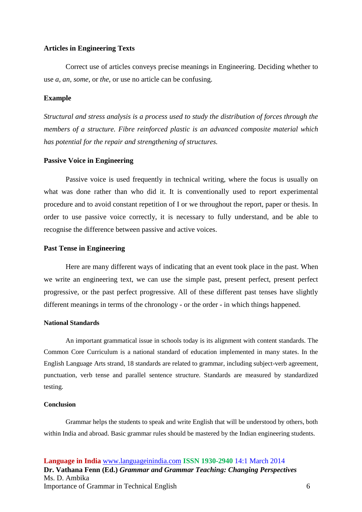## **Articles in Engineering Texts**

Correct use of articles conveys precise meanings in Engineering. Deciding whether to use *a, an, some,* or *the,* or use no article can be confusing.

## **Example**

*Structural and stress analysis is a process used to study the distribution of forces through the members of a structure. Fibre reinforced plastic is an advanced composite material which has potential for the repair and strengthening of structures.*

### **Passive Voice in Engineering**

Passive voice is used frequently in technical writing, where the focus is usually on what was done rather than who did it. It is conventionally used to report experimental procedure and to avoid constant repetition of I or we throughout the report, paper or thesis. In order to use passive voice correctly, it is necessary to fully understand, and be able to recognise the difference between passive and active voices.

#### **Past Tense in Engineering**

Here are many different ways of indicating that an event took place in the past. When we write an engineering text, we can use the simple past, present perfect, present perfect progressive, or the past perfect progressive. All of these different past tenses have slightly different meanings in terms of the chronology - or the order - in which things happened.

### **National Standards**

An important grammatical issue in schools today is its alignment with content standards. The Common Core Curriculum is a national standard of education implemented in many states. In the English Language Arts strand, 18 standards are related to grammar, including subject-verb agreement, punctuation, verb tense and parallel sentence structure. Standards are measured by standardized testing.

#### **Conclusion**

Grammar helps the students to speak and write English that will be understood by others, both within India and abroad. Basic grammar rules should be mastered by the Indian engineering students.